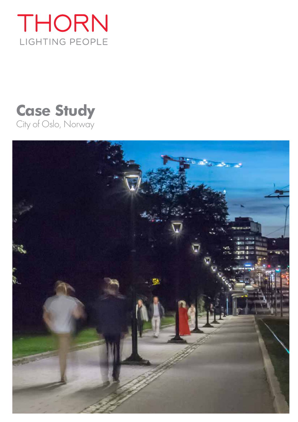

# **Case Study** City of Oslo, Norway

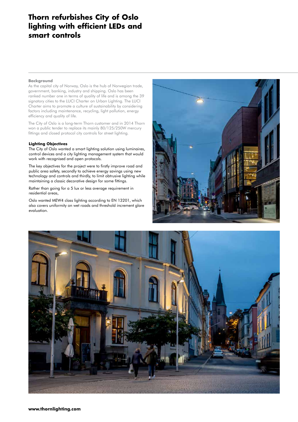## **Thorn refurbishes City of Oslo lighting with efficient LEDs and smart controls**

#### **Background**

As the capital city of Norway, Oslo is the hub of Norwegian trade, government, banking, industry and shipping. Oslo has been ranked number one in terms of quality of life and is among the 39 signatory cities to the LUCI Charter on Urban Lighting. The LUCI Charter aims to promote a culture of sustainability by considering factors including maintenance, recycling, light pollution, energy efficiency and quality of life.

The City of Oslo is a long-term Thorn customer and in 2014 Thorn won a public tender to replace its mainly 80/125/250W mercury fittings and closed protocol city controls for street lighting.

#### **Lighting Objectives**

The City of Oslo wanted a smart lighting solution using luminaires, control devices and a city lighting management system that would work with recognised and open protocols.

The key objectives for the project were to firstly improve road and public area safety, secondly to achieve energy savings using new technology and controls and thirdly, to limit obtrusive lighting while maintaining a classic decorative design for some fittings.

Rather than going for a 5 lux or less average requirement in residential areas,

Oslo wanted MEW4 class lighting according to EN 13201, which also covers uniformity on wet roads and threshold increment glare evaluation.



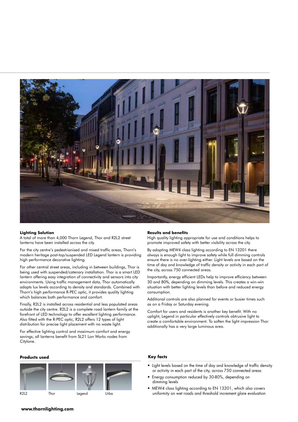

#### **Lighting Solution**

A total of more than 4,000 Thorn Legend, Thor and R2L2 street lanterns have been installed across the city.

For the city centre's pedestrianised and mixed traffic areas, Thorn's modern heritage post-top/suspended LED Legend lantern is providing high performance decorative lighting.

For other central street areas, including in between buildings, Thor is being used with suspended/catenary installation. Thor is a smart LED lantern offering easy integration of connectivity and sensors into city environments. Using traffic management data, Thor automatically adapts lux levels according to density and standards. Combined with Thorn's high performance R-PEC optic, it provides quality lighting which balances both performance and comfort.

Finally, R2L2 is installed across residential and less populated areas outside the city centre. R2L2 is a complete road lantern family at the forefront of LED technology to offer excellent lighting performance. Also fitted with the R-PEC optic, R2L2 offers 12 types of light distribution for precise light placement with no waste light.

For effective lighting control and maximum comfort and energy savings, all lanterns benefit from SL21 Lon Works nodes from Citylone.

#### **Products used Key facts**



#### **Results and benefits**

High quality lighting appropriate for use and conditions helps to promote improved safety with better visibility across the city.

By adopting MEW4 class lighting according to EN 13201 there always is enough light to improve safety while full dimming controls ensure there is no over-lighting either. Light levels are based on the time of day and knowledge of traffic density or activity in each part of the city, across 750 connected areas.

Importantly, energy efficient LEDs help to improve efficiency between 30 and 80%, depending on dimming levels. This creates a win-win situation with better lighting levels than before and reduced energy consumption.

Additional controls are also planned for events or busier times such as on a Friday or Saturday evening.

Comfort for users and residents is another key benefit. With no uplight, Legend in particular effectively controls obtrusive light to create a comfortable environment. To soften the light impression Thor additionally has a very large luminous area.

- Light levels based on the time of day and knowledge of traffic density or activity in each part of the city, across 750 connected areas
- Energy consumption reduced by 30-80%, depending on dimming levels
- MEW4 class lighting according to EN 13201, which also covers R2L2 Thor Legend Urba uniformity on wet roads and threshold increment glare evaluation

#### **www.thornlighting.com**